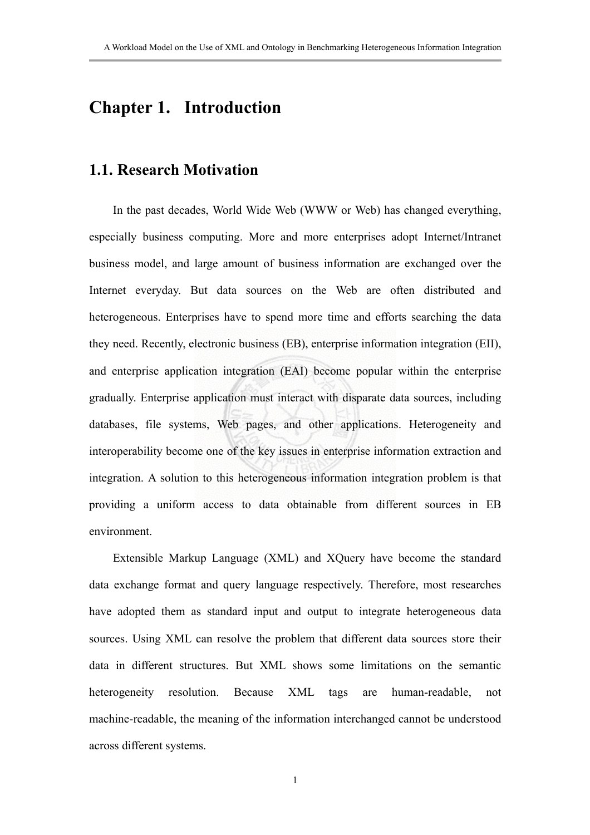# **Chapter 1. Introduction**

### **1.1. Research Motivation**

In the past decades, World Wide Web (WWW or Web) has changed everything, especially business computing. More and more enterprises adopt Internet/Intranet business model, and large amount of business information are exchanged over the Internet everyday. But data sources on the Web are often distributed and heterogeneous. Enterprises have to spend more time and efforts searching the data they need. Recently, electronic business (EB), enterprise information integration (EII), and enterprise application integration (EAI) become popular within the enterprise gradually. Enterprise application must interact with disparate data sources, including databases, file systems, Web pages, and other applications. Heterogeneity and interoperability become one of the key issues in enterprise information extraction and integration. A solution to this heterogeneous information integration problem is that providing a uniform access to data obtainable from different sources in EB environment.

Extensible Markup Language (XML) and XQuery have become the standard data exchange format and query language respectively. Therefore, most researches have adopted them as standard input and output to integrate heterogeneous data sources. Using XML can resolve the problem that different data sources store their data in different structures. But XML shows some limitations on the semantic heterogeneity resolution. Because XML tags are human-readable, not machine-readable, the meaning of the information interchanged cannot be understood across different systems.

1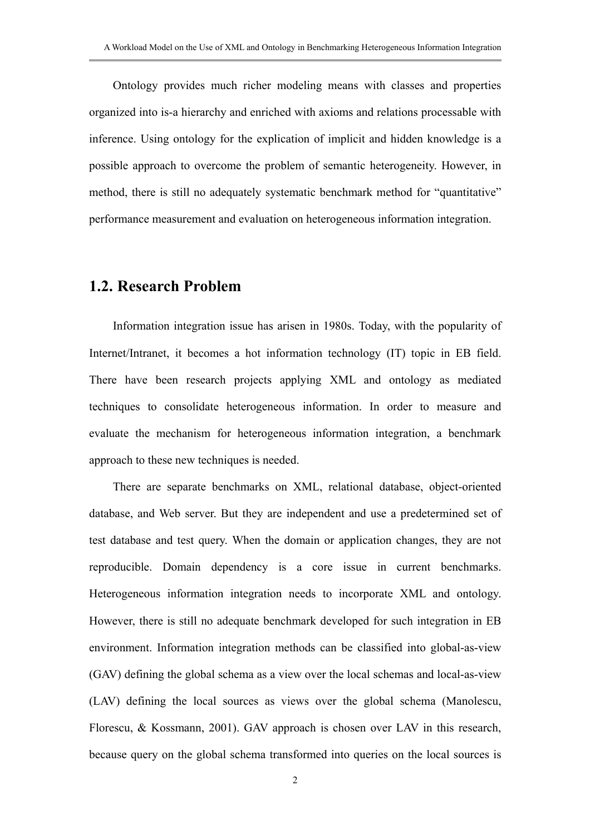Ontology provides much richer modeling means with classes and properties organized into is-a hierarchy and enriched with axioms and relations processable with inference. Using ontology for the explication of implicit and hidden knowledge is a possible approach to overcome the problem of semantic heterogeneity. However, in method, there is still no adequately systematic benchmark method for "quantitative" performance measurement and evaluation on heterogeneous information integration.

#### **1.2. Research Problem**

Information integration issue has arisen in 1980s. Today, with the popularity of Internet/Intranet, it becomes a hot information technology (IT) topic in EB field. There have been research projects applying XML and ontology as mediated techniques to consolidate heterogeneous information. In order to measure and evaluate the mechanism for heterogeneous information integration, a benchmark approach to these new techniques is needed.

There are separate benchmarks on XML, relational database, object-oriented database, and Web server. But they are independent and use a predetermined set of test database and test query. When the domain or application changes, they are not reproducible. Domain dependency is a core issue in current benchmarks. Heterogeneous information integration needs to incorporate XML and ontology. However, there is still no adequate benchmark developed for such integration in EB environment. Information integration methods can be classified into global-as-view (GAV) defining the global schema as a view over the local schemas and local-as-view (LAV) defining the local sources as views over the global schema (Manolescu, Florescu, & Kossmann, 2001). GAV approach is chosen over LAV in this research, because query on the global schema transformed into queries on the local sources is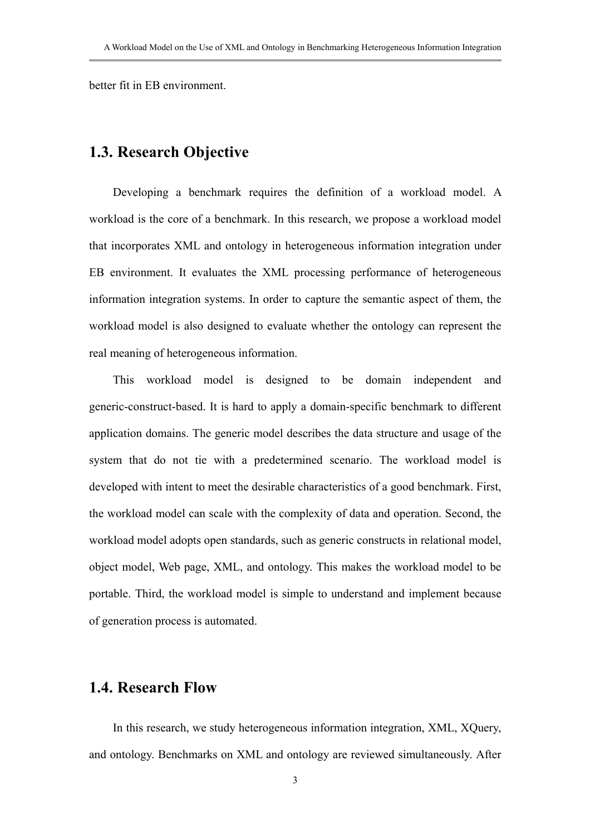better fit in EB environment.

### **1.3. Research Objective**

Developing a benchmark requires the definition of a workload model. A workload is the core of a benchmark. In this research, we propose a workload model that incorporates XML and ontology in heterogeneous information integration under EB environment. It evaluates the XML processing performance of heterogeneous information integration systems. In order to capture the semantic aspect of them, the workload model is also designed to evaluate whether the ontology can represent the real meaning of heterogeneous information.

This workload model is designed to be domain independent and generic-construct-based. It is hard to apply a domain-specific benchmark to different application domains. The generic model describes the data structure and usage of the system that do not tie with a predetermined scenario. The workload model is developed with intent to meet the desirable characteristics of a good benchmark. First, the workload model can scale with the complexity of data and operation. Second, the workload model adopts open standards, such as generic constructs in relational model, object model, Web page, XML, and ontology. This makes the workload model to be portable. Third, the workload model is simple to understand and implement because of generation process is automated.

#### **1.4. Research Flow**

In this research, we study heterogeneous information integration, XML, XQuery, and ontology. Benchmarks on XML and ontology are reviewed simultaneously. After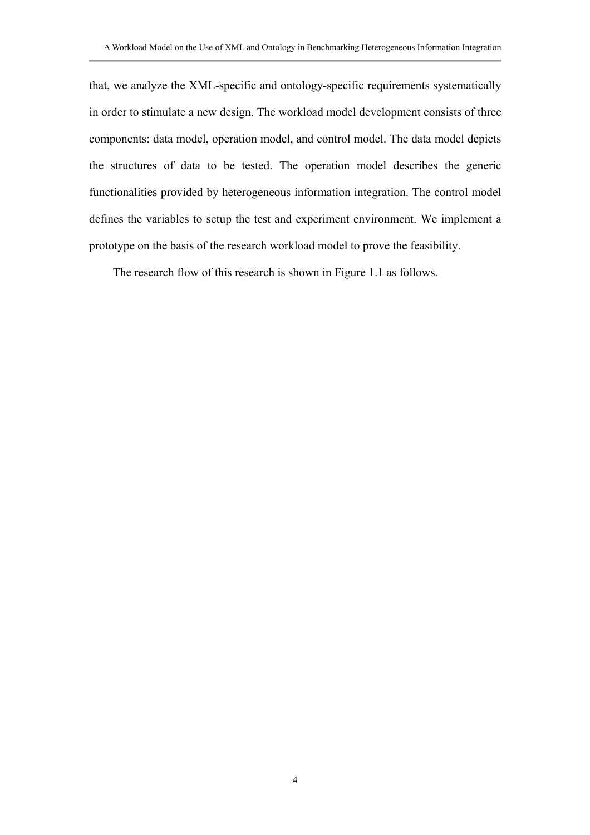that, we analyze the XML-specific and ontology-specific requirements systematically in order to stimulate a new design. The workload model development consists of three components: data model, operation model, and control model. The data model depicts the structures of data to be tested. The operation model describes the generic functionalities provided by heterogeneous information integration. The control model defines the variables to setup the test and experiment environment. We implement a prototype on the basis of the research workload model to prove the feasibility.

The research flow of this research is shown in Figure 1.1 as follows.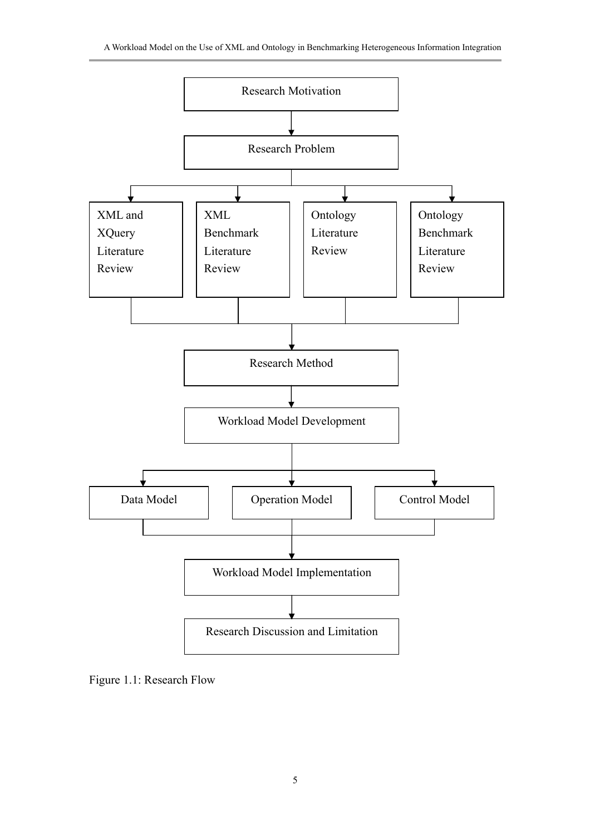

Figure 1.1: Research Flow